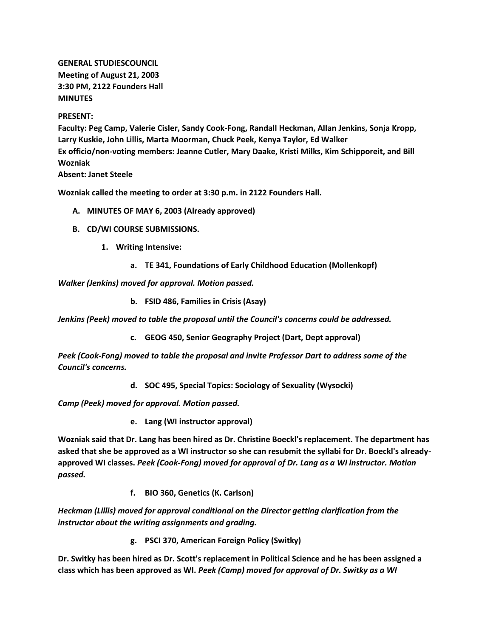**GENERAL STUDIESCOUNCIL Meeting of August 21, 2003 3:30 PM, 2122 Founders Hall MINUTES**

## **PRESENT:**

**Faculty: Peg Camp, Valerie Cisler, Sandy Cook-Fong, Randall Heckman, Allan Jenkins, Sonja Kropp, Larry Kuskie, John Lillis, Marta Moorman, Chuck Peek, Kenya Taylor, Ed Walker Ex officio/non-voting members: Jeanne Cutler, Mary Daake, Kristi Milks, Kim Schipporeit, and Bill Wozniak**

**Absent: Janet Steele**

**Wozniak called the meeting to order at 3:30 p.m. in 2122 Founders Hall.**

- **A. MINUTES OF MAY 6, 2003 (Already approved)**
- **B. CD/WI COURSE SUBMISSIONS.**
	- **1. Writing Intensive:**
		- **a. TE 341, Foundations of Early Childhood Education (Mollenkopf)**

*Walker (Jenkins) moved for approval. Motion passed.*

**b. FSID 486, Families in Crisis (Asay)**

*Jenkins (Peek) moved to table the proposal until the Council's concerns could be addressed.*

**c. GEOG 450, Senior Geography Project (Dart, Dept approval)**

*Peek (Cook-Fong) moved to table the proposal and invite Professor Dart to address some of the Council's concerns.*

**d. SOC 495, Special Topics: Sociology of Sexuality (Wysocki)**

*Camp (Peek) moved for approval. Motion passed.*

**e. Lang (WI instructor approval)**

**Wozniak said that Dr. Lang has been hired as Dr. Christine Boeckl's replacement. The department has asked that she be approved as a WI instructor so she can resubmit the syllabi for Dr. Boeckl's alreadyapproved WI classes.** *Peek (Cook-Fong) moved for approval of Dr. Lang as a WI instructor. Motion passed.*

**f. BIO 360, Genetics (K. Carlson)**

*Heckman (Lillis) moved for approval conditional on the Director getting clarification from the instructor about the writing assignments and grading.*

**g. PSCI 370, American Foreign Policy (Switky)**

**Dr. Switky has been hired as Dr. Scott's replacement in Political Science and he has been assigned a class which has been approved as WI.** *Peek (Camp) moved for approval of Dr. Switky as a WI*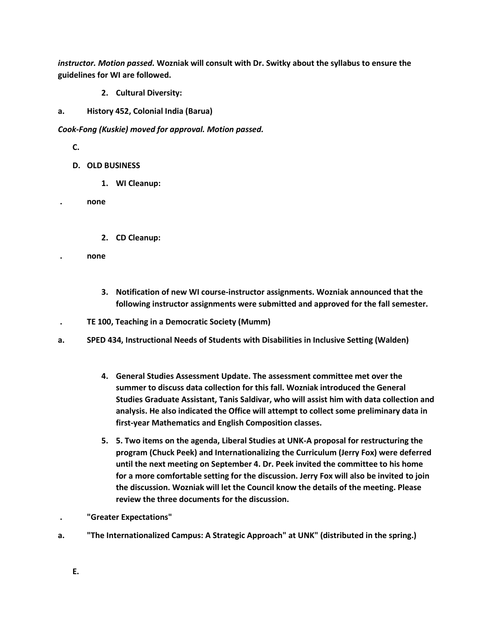*instructor. Motion passed.* **Wozniak will consult with Dr. Switky about the syllabus to ensure the guidelines for WI are followed.**

- **2. Cultural Diversity:**
- **a. History 452, Colonial India (Barua)**

*Cook-Fong (Kuskie) moved for approval. Motion passed.*

**C.**

- **D. OLD BUSINESS**
	- **1. WI Cleanup:**

**. none**

**2. CD Cleanup:** 

**. none**

- **3. Notification of new WI course-instructor assignments. Wozniak announced that the following instructor assignments were submitted and approved for the fall semester.**
- **. TE 100, Teaching in a Democratic Society (Mumm)**
- **a. SPED 434, Instructional Needs of Students with Disabilities in Inclusive Setting (Walden)**
	- **4. General Studies Assessment Update. The assessment committee met over the summer to discuss data collection for this fall. Wozniak introduced the General Studies Graduate Assistant, Tanis Saldivar, who will assist him with data collection and analysis. He also indicated the Office will attempt to collect some preliminary data in first-year Mathematics and English Composition classes.**
	- **5. 5. Two items on the agenda, Liberal Studies at UNK-A proposal for restructuring the program (Chuck Peek) and Internationalizing the Curriculum (Jerry Fox) were deferred until the next meeting on September 4. Dr. Peek invited the committee to his home for a more comfortable setting for the discussion. Jerry Fox will also be invited to join the discussion. Wozniak will let the Council know the details of the meeting. Please review the three documents for the discussion.**
	- **. "Greater Expectations"**
- **a. "The Internationalized Campus: A Strategic Approach" at UNK" (distributed in the spring.)**